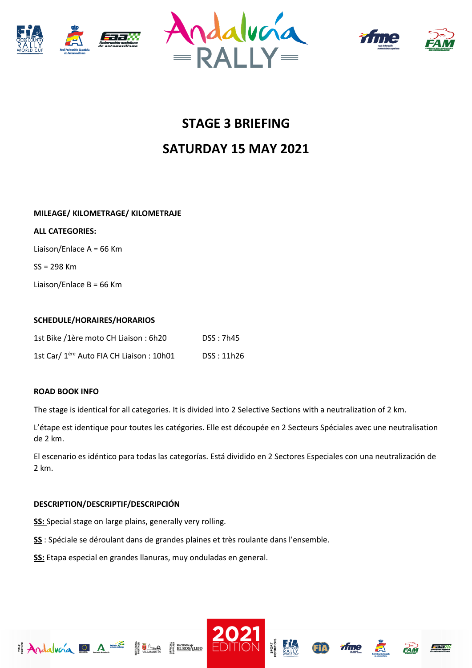







# **STAGE 3 BRIEFING SATURDAY 15 MAY 2021**

### **MILEAGE/ KILOMETRAGE/ KILOMETRAJE**

#### **ALL CATEGORIES:**

Liaison/Enlace A = 66 Km

SS = 298 Km

Liaison/Enlace B = 66 Km

#### **SCHEDULE/HORAIRES/HORARIOS**

| 1st Bike /1ère moto CH Liaison: 6h20                 | DSS: 7h45  |
|------------------------------------------------------|------------|
| 1st Car/ 1 <sup>ère</sup> Auto FIA CH Liaison: 10h01 | DSS: 11h26 |

#### **ROAD BOOK INFO**

The stage is identical for all categories. It is divided into 2 Selective Sections with a neutralization of 2 km.

L'étape est identique pour toutes les catégories. Elle est découpée en 2 Secteurs Spéciales avec une neutralisation de 2 km.

El escenario es idéntico para todas las categorías. Está dividido en 2 Sectores Especiales con una neutralización de 2 km.

## **DESCRIPTION/DESCRIPTIF/DESCRIPCIÓN**

**SS:** Special stage on large plains, generally very rolling.

**SS** : Spéciale se déroulant dans de grandes plaines et très roulante dans l'ensemble.

**SS:** Etapa especial en grandes llanuras, muy onduladas en general.

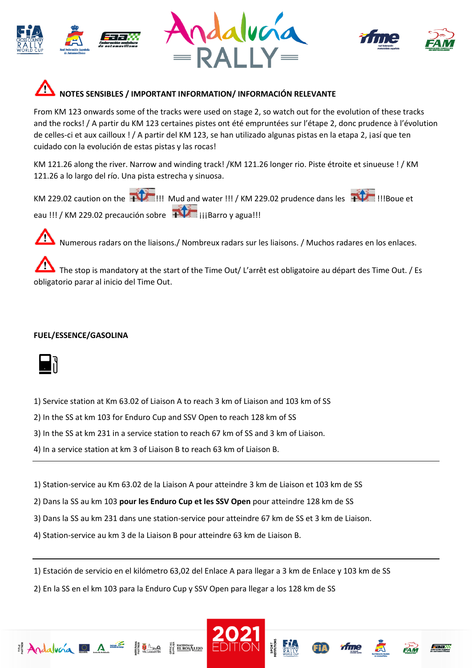







From KM 123 onwards some of the tracks were used on stage 2, so watch out for the evolution of these tracks and the rocks! / A partir du KM 123 certaines pistes ont été empruntées sur l'étape 2, donc prudence à l'évolution de celles-ci et aux cailloux ! / A partir del KM 123, se han utilizado algunas pistas en la etapa 2, ¡así que ten cuidado con la evolución de estas pistas y las rocas!

KM 121.26 along the river. Narrow and winding track! /KM 121.26 longer rio. Piste étroite et sinueuse ! / KM 121.26 a lo largo del río. Una pista estrecha y sinuosa.

KM 229.02 caution on the  $\frac{1}{100}$  ... Mud and water !!! / KM 229.02 prudence dans les  $\frac{1}{100}$  !!!Boue et eau !!! / KM 229.02 precaución sobre <sup>[1]</sup>[i]Barro y agua!!!

Numerous radars on the liaisons./ Nombreux radars sur les liaisons. / Muchos radares en los enlaces.

The stop is mandatory at the start of the Time Out/ L'arrêt est obligatoire au départ des Time Out. / Es obligatorio parar al inicio del Time Out.

## **FUEL/ESSENCE/GASOLINA**



1) Service station at Km 63.02 of Liaison A to reach 3 km of Liaison and 103 km of SS

2) In the SS at km 103 for Enduro Cup and SSV Open to reach 128 km of SS

3) In the SS at km 231 in a service station to reach 67 km of SS and 3 km of Liaison.

4) In a service station at km 3 of Liaison B to reach 63 km of Liaison B.

1) Station-service au Km 63.02 de la Liaison A pour atteindre 3 km de Liaison et 103 km de SS

2) Dans la SS au km 103 **pour les Enduro Cup et les SSV Open** pour atteindre 128 km de SS

3) Dans la SS au km 231 dans une station-service pour atteindre 67 km de SS et 3 km de Liaison.

4) Station-service au km 3 de la Liaison B pour atteindre 63 km de Liaison B.

1) Estación de servicio en el kilómetro 63,02 del Enlace A para llegar a 3 km de Enlace y 103 km de SS

2) En la SS en el km 103 para la Enduro Cup y SSV Open para llegar a los 128 km de SS